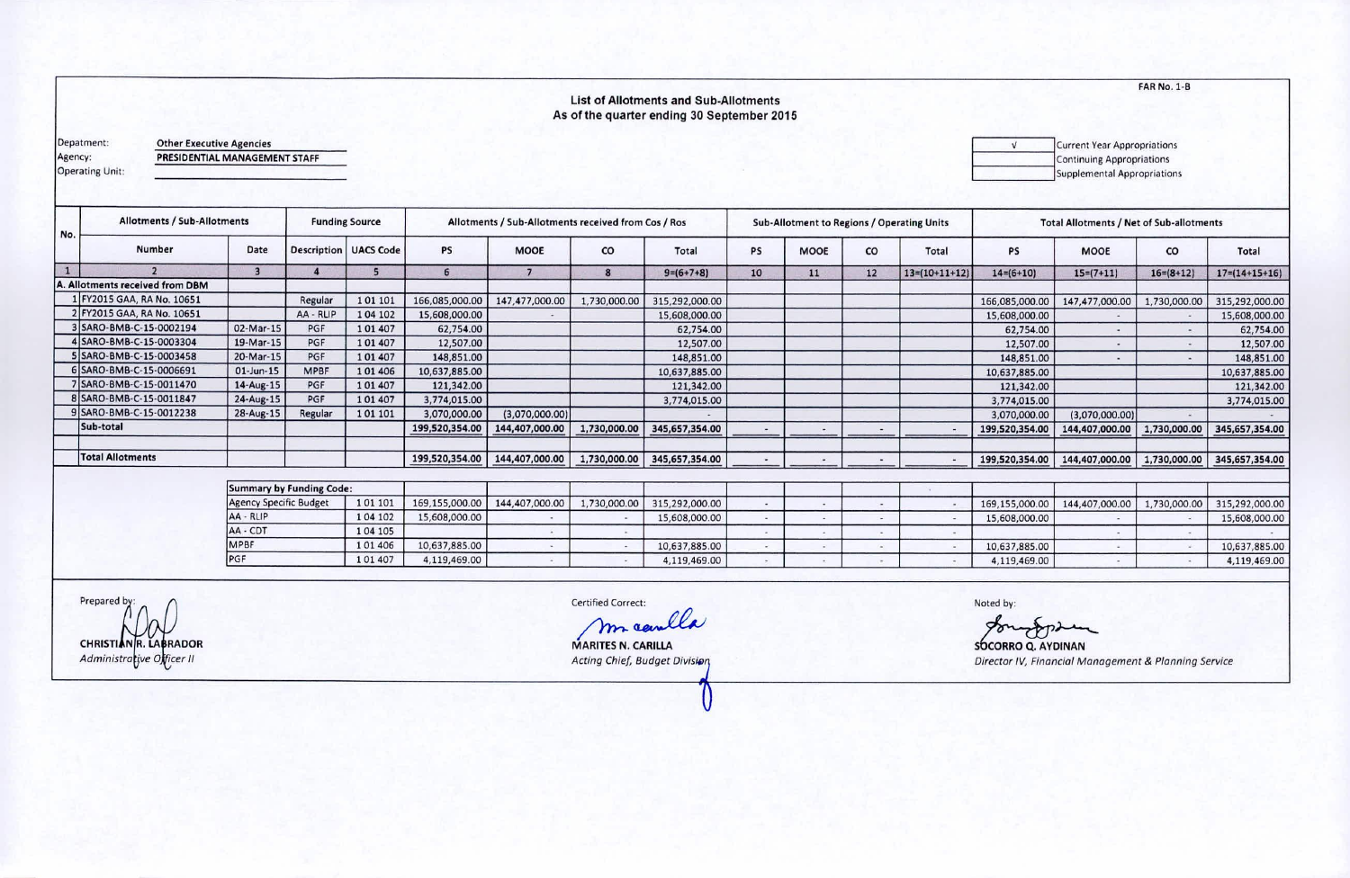**FAR No. 1-B** 

## **List of Allotments and Sub-Allotments** As of the quarter ending 30 September 2015

Depatment: Agency:

**Other Executive Agencies** PRESIDENTIAL MANAGEMENT STAFF

Operating Unit:

 $\sqrt{ }$ Current Year Appropriations Continuing Appropriations Supplemental Appropriations

| No. | <b>Allotments / Sub-Allotments</b>  |              |                                 | <b>Funding Source</b>          | Allotments / Sub-Allotments received from Cos / Ros |                |              |                |    | Sub-Allotment to Regions / Operating Units |    |                 | <b>Total Allotments / Net of Sub-allotments</b> |                |              |                       |
|-----|-------------------------------------|--------------|---------------------------------|--------------------------------|-----------------------------------------------------|----------------|--------------|----------------|----|--------------------------------------------|----|-----------------|-------------------------------------------------|----------------|--------------|-----------------------|
|     | Number                              | Date         |                                 | <b>Description   UACS Code</b> | <b>PS</b>                                           | MOOE           | CO           | Total          | PS | <b>MOOE</b>                                | CO | Total           | <b>PS</b>                                       | <b>MOOE</b>    | co           | Total                 |
|     |                                     | з            |                                 |                                | 6                                                   |                |              | $9=(6+7+8)$    | 10 | 11                                         | 12 | $13=(10+11+12)$ | $14=(6+10)$                                     | $15=(7+11)$    | $16=(8+12)$  | $17 = (14 + 15 + 16)$ |
|     | <b>Allotments received from DBM</b> |              |                                 |                                |                                                     |                |              |                |    |                                            |    |                 |                                                 |                |              |                       |
|     | 1 FY2015 GAA, RA No. 10651          |              | Regular                         | 101101                         | 166,085,000.00                                      | 147,477,000.00 | 1,730,000.00 | 315,292,000.00 |    |                                            |    |                 | 166,085,000.00                                  | 147,477,000.00 | 1,730,000.00 | 315,292,000.00        |
|     | 2 FY2015 GAA, RA No. 10651          |              | AA - RLIP                       | 104 102                        | 15,608,000.00                                       |                |              | 15,608,000.00  |    |                                            |    |                 | 15,608,000.00                                   |                |              | 15,608,000.00         |
|     | 3 SARO-BMB-C-15-0002194             | 02-Mar-15    | PGF                             | 101407                         | 62,754.00                                           |                |              | 62,754.00      |    |                                            |    |                 | 62,754.00                                       |                |              | 62,754.00             |
|     | 4 SARO-BMB-C-15-0003304             | 19-Mar-15    | PGF                             | 101407                         | 12,507.00                                           |                |              | 12,507.00      |    |                                            |    |                 | 12,507.00                                       |                |              | 12,507.00             |
|     | 5 SARO-BMB-C-15-0003458             | 20-Mar-15    | PGF                             | 101407                         | 148,851.00                                          |                |              | 148,851.00     |    |                                            |    |                 | 148,851.00                                      |                |              | 148,851.00            |
|     | 6 SARO-BMB-C-15-0006691             | $01$ -Jun-15 | <b>MPBF</b>                     | 101406                         | 10,637,885.00                                       |                |              | 10,637,885.00  |    |                                            |    |                 | 10,637,885.00                                   |                |              | 10,637,885.00         |
|     | 7 SARO-BMB-C-15-0011470             | $14$ -Aug-15 | PGF                             | 101407                         | 121,342.00                                          |                |              | 121,342.00     |    |                                            |    |                 | 121,342.00                                      |                |              | 121,342.00            |
|     | 8 SARO-BMB-C-15-0011847             | 24-Aug-15    | PGF                             | 101407                         | 3,774,015.00                                        |                |              | 3,774,015.00   |    |                                            |    |                 | 3,774,015.00                                    |                |              | 3,774,015.00          |
|     | 9 SARO-BMB-C-15-0012238             | 28-Aug-15    | Regular                         | 101 101                        | 3,070,000.00                                        | (3,070,000.00) |              |                |    |                                            |    |                 | 3,070,000.00                                    | (3,070,000.00) |              |                       |
|     | Sub-total                           |              |                                 |                                | 199,520,354.00                                      | 144,407,000.00 | 1,730,000.00 | 345,657,354.00 |    |                                            |    |                 | 199,520,354.00                                  | 144,407,000.00 | 1,730,000.00 | 345,657,354.00        |
|     | <b>Total Allotments</b>             |              |                                 |                                | 199,520,354.00                                      | 144,407,000.00 | 1,730,000.00 | 345,657,354.00 |    |                                            |    | $\rightarrow$   | 199,520,354.00                                  | 144,407,000.00 | 1,730,000.00 | 345,657,354.00        |
|     |                                     |              |                                 |                                |                                                     |                |              |                |    |                                            |    |                 |                                                 |                |              |                       |
|     |                                     |              | <b>Summary by Funding Code:</b> |                                |                                                     |                |              |                |    |                                            |    |                 |                                                 |                |              |                       |

| Summary by Funding Code: |              |                                |               |                                                                 |  |               |                               |                                                                 |
|--------------------------|--------------|--------------------------------|---------------|-----------------------------------------------------------------|--|---------------|-------------------------------|-----------------------------------------------------------------|
| 101 101                  |              |                                |               |                                                                 |  |               |                               |                                                                 |
| 104 102                  |              |                                | 15,608,000.00 |                                                                 |  | 15,608,000.00 |                               | 15,608,000.00                                                   |
| 104 105                  |              |                                |               |                                                                 |  |               |                               |                                                                 |
| 101406                   |              |                                | 10,637,885.00 |                                                                 |  |               |                               | 10,637,885.00                                                   |
| 101407                   | 4,119,469.00 |                                | 4,119,469.00  |                                                                 |  |               |                               | 4,119,469.00                                                    |
|                          |              | 15,608,000.00<br>10,637,885.00 |               | 169,155,000.00   144,407,000.00   1,730,000.00   315,292,000.00 |  |               | 10,637,885.00<br>4.119.469.00 | 169,155,000.00   144,407,000.00   1,730,000.00   315,292,000.00 |

Prepared by: CHRISTIANR. LABRADOR<br>Administrative Officer II

Certified Correct:

maculla

MARITES N. CARILLA Acting Chief, Budget Division

Noted by:

for  $\lambda$ **SOCORRO Q. AYDINAN** 

Director IV, Financial Management & Planning Service